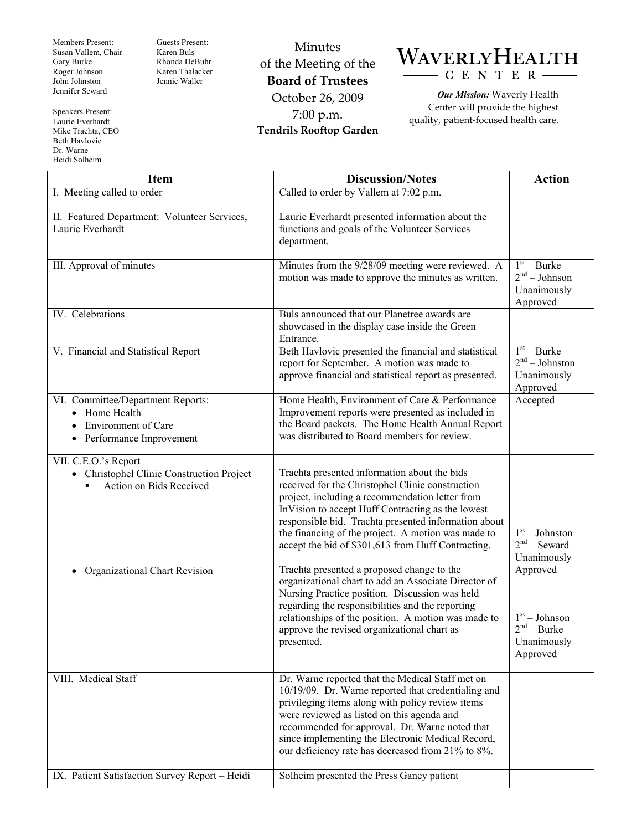Members Present: Susan Vallem, Chair Gary Burke Roger Johnson John Johnston Jennifer Seward

Speakers Present: Laurie Everhardt Mike Trachta, CEO Beth Havlovic Dr. Warne

Heidi Solheim

Guests Present: Karen Buls Rhonda DeBuhr Karen Thalacker Jennie Waller

Minutes of the Meeting of the **Board of Trustees**  October 26, 2009 7:00 p.m. **Tendrils Rooftop Garden** 



*Our Mission:* Waverly Health Center will provide the highest quality, patient-focused health care.

| <b>Item</b>                                                                                                                                     | <b>Discussion/Notes</b>                                                                                                                                                                                                                                                                                                                                                                                                                                                                                                                                                                                                                                                                                      | <b>Action</b>                                                                                                                |
|-------------------------------------------------------------------------------------------------------------------------------------------------|--------------------------------------------------------------------------------------------------------------------------------------------------------------------------------------------------------------------------------------------------------------------------------------------------------------------------------------------------------------------------------------------------------------------------------------------------------------------------------------------------------------------------------------------------------------------------------------------------------------------------------------------------------------------------------------------------------------|------------------------------------------------------------------------------------------------------------------------------|
| I. Meeting called to order                                                                                                                      | Called to order by Vallem at 7:02 p.m.                                                                                                                                                                                                                                                                                                                                                                                                                                                                                                                                                                                                                                                                       |                                                                                                                              |
| II. Featured Department: Volunteer Services,<br>Laurie Everhardt                                                                                | Laurie Everhardt presented information about the<br>functions and goals of the Volunteer Services<br>department.                                                                                                                                                                                                                                                                                                                                                                                                                                                                                                                                                                                             |                                                                                                                              |
| III. Approval of minutes                                                                                                                        | Minutes from the 9/28/09 meeting were reviewed. A<br>motion was made to approve the minutes as written.                                                                                                                                                                                                                                                                                                                                                                                                                                                                                                                                                                                                      | $1st - Burke$<br>$2nd - Johnson$<br>Unanimously<br>Approved                                                                  |
| IV. Celebrations                                                                                                                                | Buls announced that our Planetree awards are<br>showcased in the display case inside the Green<br>Entrance.                                                                                                                                                                                                                                                                                                                                                                                                                                                                                                                                                                                                  |                                                                                                                              |
| V. Financial and Statistical Report                                                                                                             | Beth Havlovic presented the financial and statistical<br>report for September. A motion was made to<br>approve financial and statistical report as presented.                                                                                                                                                                                                                                                                                                                                                                                                                                                                                                                                                | $1st - Burke$<br>$2nd - Johnston$<br>Unanimously<br>Approved                                                                 |
| VI. Committee/Department Reports:<br>• Home Health<br><b>Environment of Care</b><br>Performance Improvement<br>$\bullet$                        | Home Health, Environment of Care & Performance<br>Improvement reports were presented as included in<br>the Board packets. The Home Health Annual Report<br>was distributed to Board members for review.                                                                                                                                                                                                                                                                                                                                                                                                                                                                                                      | Accepted                                                                                                                     |
| VII. C.E.O.'s Report<br>• Christophel Clinic Construction Project<br>Action on Bids Received<br>$\blacksquare$<br>Organizational Chart Revision | Trachta presented information about the bids<br>received for the Christophel Clinic construction<br>project, including a recommendation letter from<br>InVision to accept Huff Contracting as the lowest<br>responsible bid. Trachta presented information about<br>the financing of the project. A motion was made to<br>accept the bid of \$301,613 from Huff Contracting.<br>Trachta presented a proposed change to the<br>organizational chart to add an Associate Director of<br>Nursing Practice position. Discussion was held<br>regarding the responsibilities and the reporting<br>relationships of the position. A motion was made to<br>approve the revised organizational chart as<br>presented. | $1st - Johnston$<br>$2nd$ – Seward<br>Unanimously<br>Approved<br>$1st - Johnson$<br>$2nd - Burke$<br>Unanimously<br>Approved |
| VIII. Medical Staff                                                                                                                             | Dr. Warne reported that the Medical Staff met on<br>10/19/09. Dr. Warne reported that credentialing and<br>privileging items along with policy review items<br>were reviewed as listed on this agenda and<br>recommended for approval. Dr. Warne noted that<br>since implementing the Electronic Medical Record,<br>our deficiency rate has decreased from 21% to 8%.                                                                                                                                                                                                                                                                                                                                        |                                                                                                                              |
| IX. Patient Satisfaction Survey Report - Heidi                                                                                                  | Solheim presented the Press Ganey patient                                                                                                                                                                                                                                                                                                                                                                                                                                                                                                                                                                                                                                                                    |                                                                                                                              |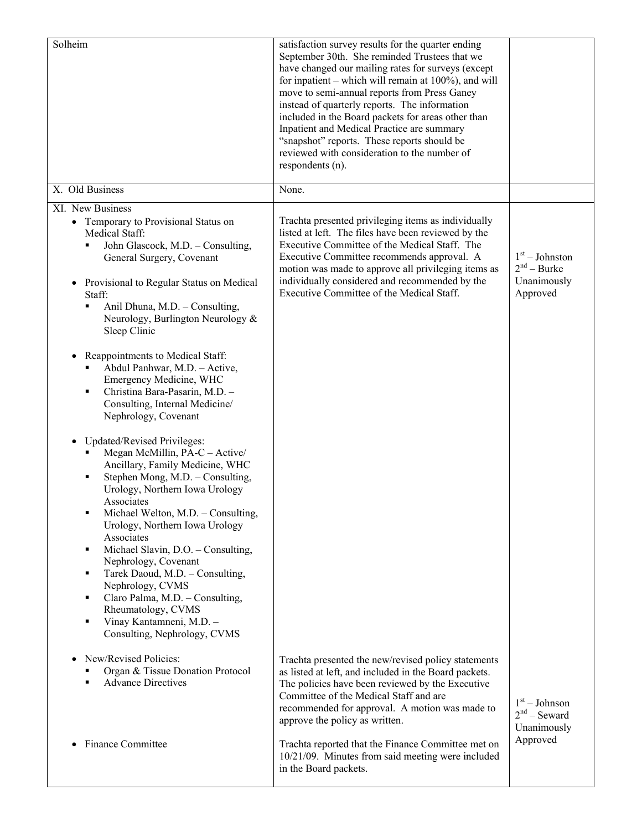| Solheim                                                                                                                                                                                                                                                                                                                                                                                                                                                                                                                                       | satisfaction survey results for the quarter ending<br>September 30th. She reminded Trustees that we<br>have changed our mailing rates for surveys (except<br>for inpatient – which will remain at $100\%$ ), and will<br>move to semi-annual reports from Press Ganey<br>instead of quarterly reports. The information<br>included in the Board packets for areas other than<br>Inpatient and Medical Practice are summary<br>"snapshot" reports. These reports should be<br>reviewed with consideration to the number of<br>respondents (n). |                                                              |
|-----------------------------------------------------------------------------------------------------------------------------------------------------------------------------------------------------------------------------------------------------------------------------------------------------------------------------------------------------------------------------------------------------------------------------------------------------------------------------------------------------------------------------------------------|-----------------------------------------------------------------------------------------------------------------------------------------------------------------------------------------------------------------------------------------------------------------------------------------------------------------------------------------------------------------------------------------------------------------------------------------------------------------------------------------------------------------------------------------------|--------------------------------------------------------------|
| X. Old Business                                                                                                                                                                                                                                                                                                                                                                                                                                                                                                                               | None.                                                                                                                                                                                                                                                                                                                                                                                                                                                                                                                                         |                                                              |
| XI. New Business<br>• Temporary to Provisional Status on<br>Medical Staff:<br>John Glascock, M.D. - Consulting,<br>General Surgery, Covenant<br>Provisional to Regular Status on Medical<br>Staff:<br>Anil Dhuna, M.D. - Consulting,<br>٠<br>Neurology, Burlington Neurology &<br>Sleep Clinic<br>Reappointments to Medical Staff:<br>٠<br>Abdul Panhwar, M.D. - Active,<br>Emergency Medicine, WHC<br>Christina Bara-Pasarin, M.D. -<br>٠<br>Consulting, Internal Medicine/<br>Nephrology, Covenant                                          | Trachta presented privileging items as individually<br>listed at left. The files have been reviewed by the<br>Executive Committee of the Medical Staff. The<br>Executive Committee recommends approval. A<br>motion was made to approve all privileging items as<br>individually considered and recommended by the<br>Executive Committee of the Medical Staff.                                                                                                                                                                               | $1st - Johnston$<br>$2nd - Burke$<br>Unanimously<br>Approved |
| Updated/Revised Privileges:<br>Megan McMillin, PA-C - Active/<br>Ancillary, Family Medicine, WHC<br>Stephen Mong, M.D. - Consulting,<br>Urology, Northern Iowa Urology<br>Associates<br>Michael Welton, M.D. - Consulting,<br>٠<br>Urology, Northern Iowa Urology<br>Associates<br>Michael Slavin, D.O. - Consulting,<br>٠<br>Nephrology, Covenant<br>Tarek Daoud, M.D. - Consulting,<br>٠<br>Nephrology, CVMS<br>Claro Palma, M.D. - Consulting,<br>٠<br>Rheumatology, CVMS<br>Vinay Kantamneni, M.D. -<br>٠<br>Consulting, Nephrology, CVMS |                                                                                                                                                                                                                                                                                                                                                                                                                                                                                                                                               |                                                              |
| New/Revised Policies:<br>Organ & Tissue Donation Protocol<br><b>Advance Directives</b><br><b>Finance Committee</b>                                                                                                                                                                                                                                                                                                                                                                                                                            | Trachta presented the new/revised policy statements<br>as listed at left, and included in the Board packets.<br>The policies have been reviewed by the Executive<br>Committee of the Medical Staff and are<br>recommended for approval. A motion was made to<br>approve the policy as written.<br>Trachta reported that the Finance Committee met on<br>10/21/09. Minutes from said meeting were included<br>in the Board packets.                                                                                                            | $1st - Johnson$<br>$2nd$ – Seward<br>Unanimously<br>Approved |